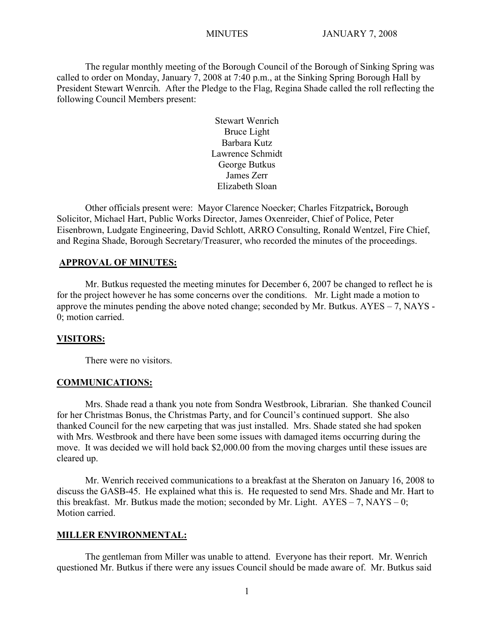The regular monthly meeting of the Borough Council of the Borough of Sinking Spring was called to order on Monday, January 7, 2008 at 7:40 p.m., at the Sinking Spring Borough Hall by President Stewart Wenrcih. After the Pledge to the Flag, Regina Shade called the roll reflecting the following Council Members present:

> Stewart Wenrich Bruce Light Barbara Kutz Lawrence Schmidt George Butkus James Zerr Elizabeth Sloan

Other officials present were: Mayor Clarence Noecker; Charles Fitzpatrick**,** Borough Solicitor, Michael Hart, Public Works Director, James Oxenreider, Chief of Police, Peter Eisenbrown, Ludgate Engineering, David Schlott, ARRO Consulting, Ronald Wentzel, Fire Chief, and Regina Shade, Borough Secretary/Treasurer, who recorded the minutes of the proceedings.

## **APPROVAL OF MINUTES:**

Mr. Butkus requested the meeting minutes for December 6, 2007 be changed to reflect he is for the project however he has some concerns over the conditions. Mr. Light made a motion to approve the minutes pending the above noted change; seconded by Mr. Butkus. AYES – 7, NAYS - 0; motion carried.

#### **VISITORS:**

There were no visitors.

### **COMMUNICATIONS:**

Mrs. Shade read a thank you note from Sondra Westbrook, Librarian. She thanked Council for her Christmas Bonus, the Christmas Party, and for Council's continued support. She also thanked Council for the new carpeting that was just installed. Mrs. Shade stated she had spoken with Mrs. Westbrook and there have been some issues with damaged items occurring during the move. It was decided we will hold back \$2,000.00 from the moving charges until these issues are cleared up.

Mr. Wenrich received communications to a breakfast at the Sheraton on January 16, 2008 to discuss the GASB-45. He explained what this is. He requested to send Mrs. Shade and Mr. Hart to this breakfast. Mr. Butkus made the motion; seconded by Mr. Light.  $AYES - 7$ ,  $NAYS - 0$ ; Motion carried.

#### **MILLER ENVIRONMENTAL:**

The gentleman from Miller was unable to attend. Everyone has their report. Mr. Wenrich questioned Mr. Butkus if there were any issues Council should be made aware of. Mr. Butkus said

1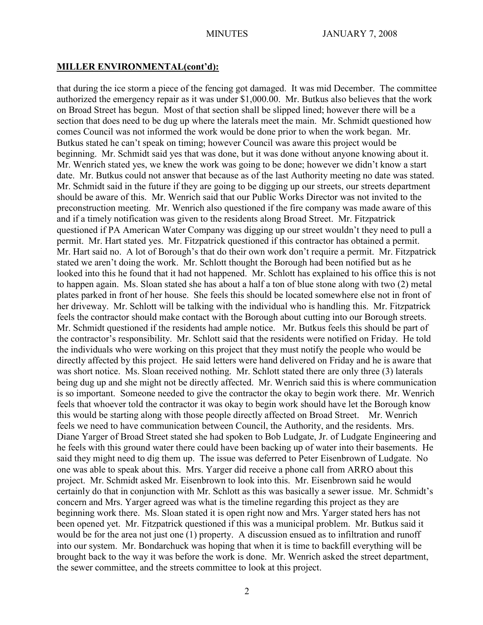# **MILLER ENVIRONMENTAL(cont'd):**

that during the ice storm a piece of the fencing got damaged. It was mid December. The committee authorized the emergency repair as it was under \$1,000.00. Mr. Butkus also believes that the work on Broad Street has begun. Most of that section shall be slipped lined; however there will be a section that does need to be dug up where the laterals meet the main. Mr. Schmidt questioned how comes Council was not informed the work would be done prior to when the work began. Mr. Butkus stated he can't speak on timing; however Council was aware this project would be beginning. Mr. Schmidt said yes that was done, but it was done without anyone knowing about it. Mr. Wenrich stated yes, we knew the work was going to be done; however we didn't know a start date. Mr. Butkus could not answer that because as of the last Authority meeting no date was stated. Mr. Schmidt said in the future if they are going to be digging up our streets, our streets department should be aware of this. Mr. Wenrich said that our Public Works Director was not invited to the preconstruction meeting. Mr. Wenrich also questioned if the fire company was made aware of this and if a timely notification was given to the residents along Broad Street. Mr. Fitzpatrick questioned if PA American Water Company was digging up our street wouldn't they need to pull a permit. Mr. Hart stated yes. Mr. Fitzpatrick questioned if this contractor has obtained a permit. Mr. Hart said no. A lot of Borough's that do their own work don't require a permit. Mr. Fitzpatrick stated we aren't doing the work. Mr. Schlott thought the Borough had been notified but as he looked into this he found that it had not happened. Mr. Schlott has explained to his office this is not to happen again. Ms. Sloan stated she has about a half a ton of blue stone along with two (2) metal plates parked in front of her house. She feels this should be located somewhere else not in front of her driveway. Mr. Schlott will be talking with the individual who is handling this. Mr. Fitzpatrick feels the contractor should make contact with the Borough about cutting into our Borough streets. Mr. Schmidt questioned if the residents had ample notice. Mr. Butkus feels this should be part of the contractor's responsibility. Mr. Schlott said that the residents were notified on Friday. He told the individuals who were working on this project that they must notify the people who would be directly affected by this project. He said letters were hand delivered on Friday and he is aware that was short notice. Ms. Sloan received nothing. Mr. Schlott stated there are only three (3) laterals being dug up and she might not be directly affected. Mr. Wenrich said this is where communication is so important. Someone needed to give the contractor the okay to begin work there. Mr. Wenrich feels that whoever told the contractor it was okay to begin work should have let the Borough know this would be starting along with those people directly affected on Broad Street. Mr. Wenrich feels we need to have communication between Council, the Authority, and the residents. Mrs. Diane Yarger of Broad Street stated she had spoken to Bob Ludgate, Jr. of Ludgate Engineering and he feels with this ground water there could have been backing up of water into their basements. He said they might need to dig them up. The issue was deferred to Peter Eisenbrown of Ludgate. No one was able to speak about this. Mrs. Yarger did receive a phone call from ARRO about this project. Mr. Schmidt asked Mr. Eisenbrown to look into this. Mr. Eisenbrown said he would certainly do that in conjunction with Mr. Schlott as this was basically a sewer issue. Mr. Schmidt's concern and Mrs. Yarger agreed was what is the timeline regarding this project as they are beginning work there. Ms. Sloan stated it is open right now and Mrs. Yarger stated hers has not been opened yet. Mr. Fitzpatrick questioned if this was a municipal problem. Mr. Butkus said it would be for the area not just one (1) property. A discussion ensued as to infiltration and runoff into our system. Mr. Bondarchuck was hoping that when it is time to backfill everything will be brought back to the way it was before the work is done. Mr. Wenrich asked the street department, the sewer committee, and the streets committee to look at this project.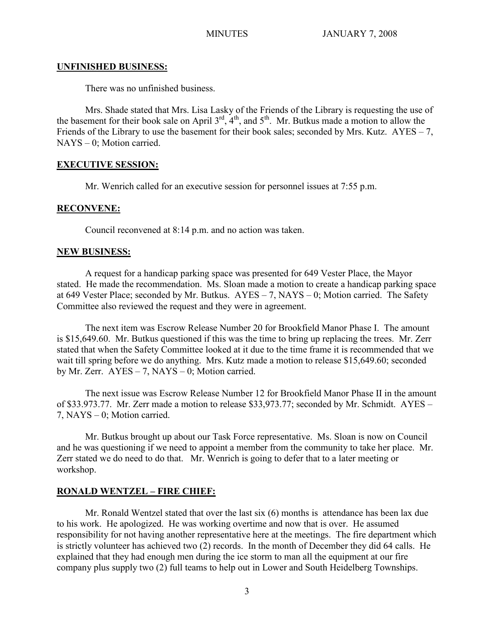## **UNFINISHED BUSINESS:**

There was no unfinished business.

Mrs. Shade stated that Mrs. Lisa Lasky of the Friends of the Library is requesting the use of the basement for their book sale on April  $3<sup>rd</sup>$ ,  $4<sup>th</sup>$ , and  $5<sup>th</sup>$ . Mr. Butkus made a motion to allow the Friends of the Library to use the basement for their book sales; seconded by Mrs. Kutz.  $AYES - 7$ , NAYS – 0; Motion carried.

# **EXECUTIVE SESSION:**

Mr. Wenrich called for an executive session for personnel issues at 7:55 p.m.

# **RECONVENE:**

Council reconvened at 8:14 p.m. and no action was taken.

# **NEW BUSINESS:**

A request for a handicap parking space was presented for 649 Vester Place, the Mayor stated. He made the recommendation. Ms. Sloan made a motion to create a handicap parking space at 649 Vester Place; seconded by Mr. Butkus. AYES – 7, NAYS – 0; Motion carried. The Safety Committee also reviewed the request and they were in agreement.

The next item was Escrow Release Number 20 for Brookfield Manor Phase I. The amount is \$15,649.60. Mr. Butkus questioned if this was the time to bring up replacing the trees. Mr. Zerr stated that when the Safety Committee looked at it due to the time frame it is recommended that we wait till spring before we do anything. Mrs. Kutz made a motion to release \$15,649.60; seconded by Mr. Zerr.  $AYES - 7$ ,  $NAYS - 0$ ; Motion carried.

The next issue was Escrow Release Number 12 for Brookfield Manor Phase II in the amount of \$33.973.77. Mr. Zerr made a motion to release \$33,973.77; seconded by Mr. Schmidt. AYES – 7, NAYS – 0; Motion carried.

Mr. Butkus brought up about our Task Force representative. Ms. Sloan is now on Council and he was questioning if we need to appoint a member from the community to take her place. Mr. Zerr stated we do need to do that. Mr. Wenrich is going to defer that to a later meeting or workshop.

# **RONALD WENTZEL – FIRE CHIEF:**

Mr. Ronald Wentzel stated that over the last six (6) months is attendance has been lax due to his work. He apologized. He was working overtime and now that is over. He assumed responsibility for not having another representative here at the meetings. The fire department which is strictly volunteer has achieved two (2) records. In the month of December they did 64 calls. He explained that they had enough men during the ice storm to man all the equipment at our fire company plus supply two (2) full teams to help out in Lower and South Heidelberg Townships.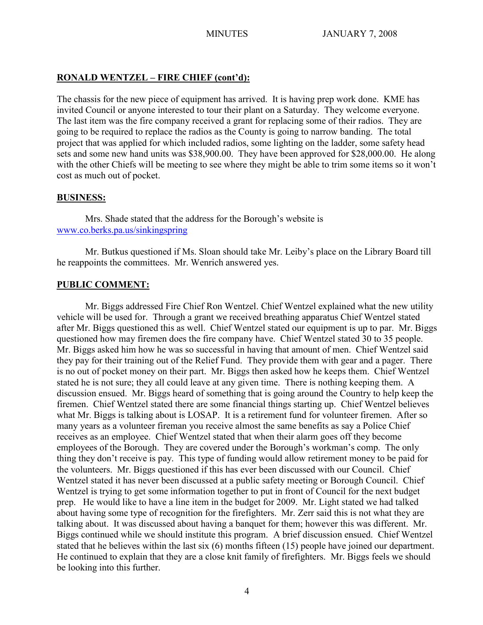# **RONALD WENTZEL – FIRE CHIEF (cont'd):**

The chassis for the new piece of equipment has arrived. It is having prep work done. KME has invited Council or anyone interested to tour their plant on a Saturday. They welcome everyone. The last item was the fire company received a grant for replacing some of their radios. They are going to be required to replace the radios as the County is going to narrow banding. The total project that was applied for which included radios, some lighting on the ladder, some safety head sets and some new hand units was \$38,900.00. They have been approved for \$28,000.00. He along with the other Chiefs will be meeting to see where they might be able to trim some items so it won't cost as much out of pocket.

# **BUSINESS:**

Mrs. Shade stated that the address for the Borough's website is [www.co.berks.pa.us/sinkingspring](http://www.co.berks.pa.us/sinkingspring)

Mr. Butkus questioned if Ms. Sloan should take Mr. Leiby's place on the Library Board till he reappoints the committees. Mr. Wenrich answered yes.

# **PUBLIC COMMENT:**

Mr. Biggs addressed Fire Chief Ron Wentzel. Chief Wentzel explained what the new utility vehicle will be used for. Through a grant we received breathing apparatus Chief Wentzel stated after Mr. Biggs questioned this as well. Chief Wentzel stated our equipment is up to par. Mr. Biggs questioned how may firemen does the fire company have. Chief Wentzel stated 30 to 35 people. Mr. Biggs asked him how he was so successful in having that amount of men. Chief Wentzel said they pay for their training out of the Relief Fund. They provide them with gear and a pager. There is no out of pocket money on their part. Mr. Biggs then asked how he keeps them. Chief Wentzel stated he is not sure; they all could leave at any given time. There is nothing keeping them. A discussion ensued. Mr. Biggs heard of something that is going around the Country to help keep the firemen. Chief Wentzel stated there are some financial things starting up. Chief Wentzel believes what Mr. Biggs is talking about is LOSAP. It is a retirement fund for volunteer firemen. After so many years as a volunteer fireman you receive almost the same benefits as say a Police Chief receives as an employee. Chief Wentzel stated that when their alarm goes off they become employees of the Borough. They are covered under the Borough's workman's comp. The only thing they don't receive is pay. This type of funding would allow retirement money to be paid for the volunteers. Mr. Biggs questioned if this has ever been discussed with our Council. Chief Wentzel stated it has never been discussed at a public safety meeting or Borough Council. Chief Wentzel is trying to get some information together to put in front of Council for the next budget prep. He would like to have a line item in the budget for 2009. Mr. Light stated we had talked about having some type of recognition for the firefighters. Mr. Zerr said this is not what they are talking about. It was discussed about having a banquet for them; however this was different. Mr. Biggs continued while we should institute this program. A brief discussion ensued. Chief Wentzel stated that he believes within the last six (6) months fifteen (15) people have joined our department. He continued to explain that they are a close knit family of firefighters. Mr. Biggs feels we should be looking into this further.